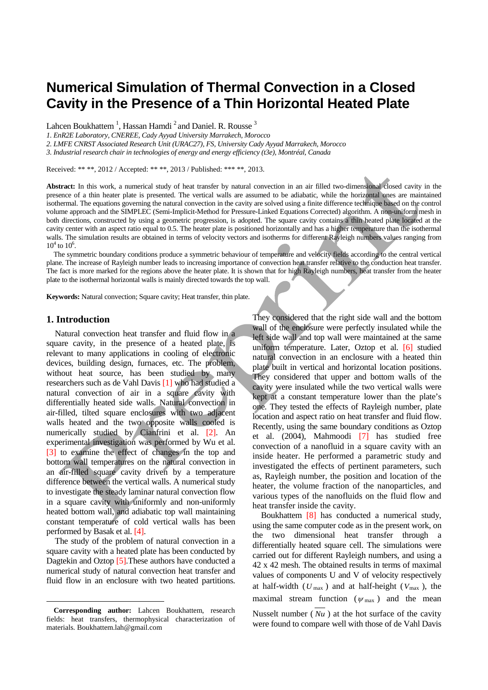# **Numerical Simulation of Thermal Convection in a Closed Cavity in the Presence of a Thin Horizontal Heated Plate**

Lahcen Boukhattem<sup>1</sup>, Hassan Hamdi<sup>2</sup> and Daniel. R. Rousse<sup>3</sup>

*1. EnR2E Laboratory, CNEREE, Cady Ayyad University Marrakech, Morocco*

*2. LMFE CNRST Associated Research Unit (URAC27), FS, University Cady Ayyad Marrakech, Morocco*

*3. Industrial research chair in technologies of energy and energy efficiency (t3e), Montréal, Canada* 

Received: \*\* \*\*, 2012 / Accepted: \*\* \*\*, 2013 / Published: \*\*\* \*\*, 2013.

**Abstract:** In this work, a numerical study of heat transfer by natural convection in an air filled two-dimensional closed cavity in the presence of a thin heater plate is presented. The vertical walls are assumed to be adiabatic, while the horizontal ones are maintained isothermal. The equations governing the natural convection in the cavity are solved using a finite difference technique based on the control volume approach and the SIMPLEC (Semi-Implicit-Method for Pressure-Linked Equations Corrected) algorithm. A non-uniform mesh in both directions, constructed by using a geometric progression, is adopted. The square cavity contains a thin heated plate located at the cavity center with an aspect ratio equal to 0.5. The heater plate is positioned horizontally and has a higher temperature than the isothermal walls. The simulation results are obtained in terms of velocity vectors and isotherms for different Rayleigh numbers values ranging from  $10^4$  to  $10^6$ .

The symmetric boundary conditions produce a symmetric behaviour of temperature and velocity fields according to the central vertical plane. The increase of Rayleigh number leads to increasing importance of convection heat transfer relative to the conduction heat transfer. The fact is more marked for the regions above the heater plate. It is shown that for high Rayleigh numbers, heat transfer from the heater plate to the isothermal horizontal walls is mainly directed towards the top wall.

**Keywords:** Natural convection; Square cavity; Heat transfer, thin plate.

#### **1. Introduction**

Natural convection heat transfer and fluid flow in a square cavity, in the presence of a heated plate, is relevant to many applications in cooling of electronic devices, building design, furnaces, etc. The problem, without heat source, has been studied by many researchers such as de Vahl Davis [1] who had studied a natural convection of air in a square cavity with differentially heated side walls. Natural convection in air-filled, tilted square enclosures with two adjacent walls heated and the two opposite walls cooled is numerically studied by Cianfrini et al. [2]. An experimental investigation was performed by Wu et al. [3] to examine the effect of changes in the top and bottom wall temperatures on the natural convection in an air-filled square cavity driven by a temperature difference between the vertical walls. A numerical study to investigate the steady laminar natural convection flow in a square cavity with uniformly and non-uniformly heated bottom wall, and adiabatic top wall maintaining constant temperature of cold vertical walls has been performed by Basak et al. [4].

The study of the problem of natural convection in a square cavity with a heated plate has been conducted by Dagtekin and Oztop [5]. These authors have conducted a numerical study of natural convection heat transfer and fluid flow in an enclosure with two heated partitions.

They considered that the right side wall and the bottom wall of the enclosure were perfectly insulated while the left side wall and top wall were maintained at the same uniform temperature. Later, Oztop et al. [6] studied natural convection in an enclosure with a heated thin plate built in vertical and horizontal location positions. They considered that upper and bottom walls of the cavity were insulated while the two vertical walls were kept at a constant temperature lower than the plate's one. They tested the effects of Rayleigh number, plate location and aspect ratio on heat transfer and fluid flow. Recently, using the same boundary conditions as Oztop et al. (2004), Mahmoodi [7] has studied free convection of a nanofluid in a square cavity with an inside heater. He performed a parametric study and investigated the effects of pertinent parameters, such as, Rayleigh number, the position and location of the heater, the volume fraction of the nanoparticles, and various types of the nanofluids on the fluid flow and heat transfer inside the cavity.

Boukhattem [8] has conducted a numerical study, using the same computer code as in the present work, on the two dimensional heat transfer through a differentially heated square cell. The simulations were carried out for different Rayleigh numbers, and using a 42 x 42 mesh. The obtained results in terms of maximal values of components U and V of velocity respectively at half-width (*U* max ) and at half-height (*V*max ), the maximal stream function ( $\psi_{\text{max}}$ ) and the mean Nusselt number ( *Nu* ) at the hot surface of the cavity were found to compare well with those of de Vahl Davis

<span id="page-0-0"></span><sup>—</sup> **Corresponding author:** Lahcen Boukhattem, research fields: heat transfers, thermophysical characterization of materials. Boukhattem.lah@gmail.com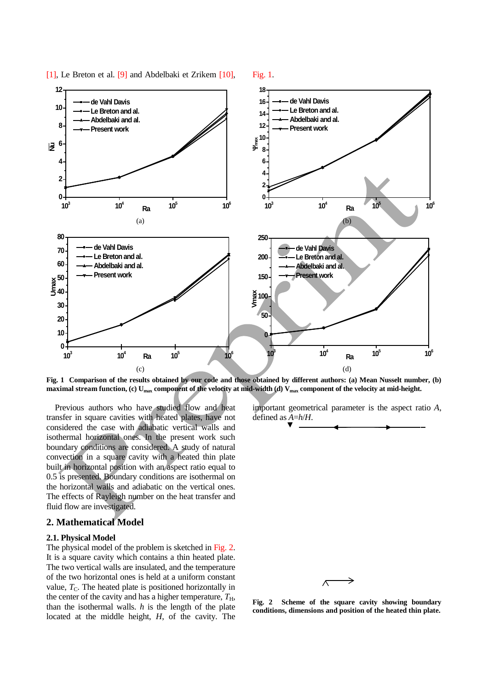

[1], Le Breton et al. [9] and Abdelbaki et Zrikem [10], Fig. 1.

**Fig. 1 Comparison of the results obtained by our code and those obtained by different authors: (a) Mean Nusselt number, (b) maximal stream function, (c) Umax component of the velocity at mid-width (d) Vmax component of the velocity at mid-height.**

Previous authors who have studied flow and heat transfer in square cavities with heated plates, have not considered the case with adiabatic vertical walls and isothermal horizontal ones. In the present work such boundary conditions are considered. A study of natural convection in a square cavity with a heated thin plate built in horizontal position with an aspect ratio equal to 0.5 is presented. Boundary conditions are isothermal on the horizontal walls and adiabatic on the vertical ones. The effects of Rayleigh number on the heat transfer and fluid flow are investigated.

# **2. Mathematical Model**

#### **2.1. Physical Model**

The physical model of the problem is sketched in Fig. 2. It is a square cavity which contains a thin heated plate. The two vertical walls are insulated, and the temperature of the two horizontal ones is held at a uniform constant value,  $T<sub>C</sub>$ . The heated plate is positioned horizontally in the center of the cavity and has a higher temperature,  $T_{\text{H}}$ , than the isothermal walls. *h* is the length of the plate located at the middle height, *H*, of the cavity. The important geometrical parameter is the aspect ratio *A*, defined as *A*=*h*/*H*.



**Fig. 2 Scheme of the square cavity showing boundary conditions, dimensions and position of the heated thin plate.**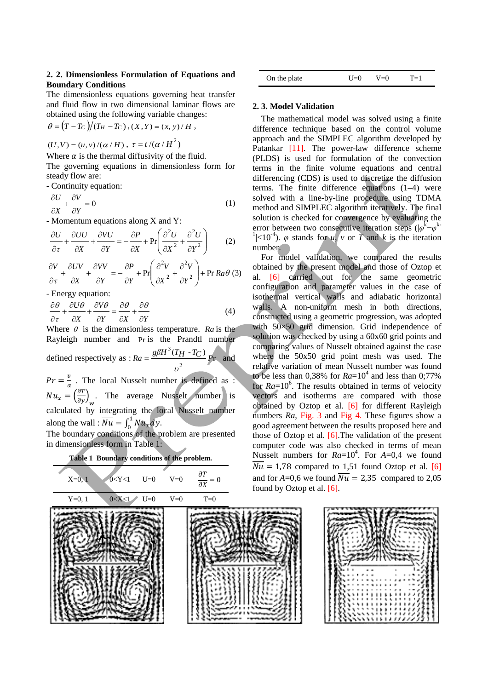### **2. 2. Dimensionless Formulation of Equations and Boundary Conditions**

The dimensionless equations governing heat transfer and fluid flow in two dimensional laminar flows are obtained using the following variable changes:

$$
\theta = (T - T_C)/(T_H - T_C), (X, Y) = (x, y) / H,
$$

 $(U, V) = (u, v) /(\alpha / H)$ ,  $\tau = t /(\alpha / H^2)$ 

Where  $\alpha$  is the thermal diffusivity of the fluid. The governing equations in dimensionless form for steady flow are:

- Continuity equation:

$$
\frac{\partial U}{\partial X} + \frac{\partial V}{\partial Y} = 0\tag{1}
$$

- Momentum equations along X and Y:

$$
\frac{\partial U}{\partial \tau} + \frac{\partial UU}{\partial X} + \frac{\partial VU}{\partial Y} = -\frac{\partial P}{\partial X} + \Pr\left(\frac{\partial^2 U}{\partial X^2} + \frac{\partial^2 U}{\partial Y^2}\right) \tag{2}
$$

$$
\frac{\partial V}{\partial \tau} + \frac{\partial UV}{\partial X} + \frac{\partial VV}{\partial Y} = -\frac{\partial P}{\partial Y} + \text{Pr}\left(\frac{\partial^2 V}{\partial X^2} + \frac{\partial^2 V}{\partial Y^2}\right) + \text{Pr } R_a \theta \text{ (3)}
$$

- Energy equation:

$$
\frac{\partial \theta}{\partial \tau} + \frac{\partial U \theta}{\partial X} + \frac{\partial V \theta}{\partial Y} = \frac{\partial \theta}{\partial X} + \frac{\partial \theta}{\partial Y}
$$
(4)

Where  $\theta$  is the dimensionless temperature. *Ra* is the Rayleigh number and Pr is the Prandtl number defined respectively as :  $Ra = \frac{g\beta H^3 (T_H - T_C)}{2F}$ 2  $Ra = \frac{g\beta H^3(T_H - T_C)}{F}$ υ  $=\frac{S_{P}^{2}+S_{P}^{2}-S_{P}^{2}}{P_{P}}$  and  $Pr = \frac{v}{\alpha}$ . The local Nusselt number is defined as :

 $Nu_x = \left(\frac{\partial T}{\partial y}\right)_w$ . The average Nusselt number is calculated by integrating the local Nusselt number along the wall :  $\overline{Nu} = \int_0^1 Nu_x dy$ . The boundary conditions of the problem are presented

in dimensionless form in Table 1:



| On the plate | $L_{\text{L}}$ | $V=0$ | $T=1$ |  |
|--------------|----------------|-------|-------|--|
|              |                |       |       |  |

## **2. 3. Model Validation**

The mathematical model was solved using a finite difference technique based on the control volume approach and the SIMPLEC algorithm developed by Patankar [11]. The power-law difference scheme (PLDS) is used for formulation of the convection terms in the finite volume equations and central differencing (CDS) is used to discretize the diffusion terms. The finite difference equations (1–4) were solved with a line-by-line procedure using TDMA method and SIMPLEC algorithm iteratively. The final solution is checked for convergence by evaluating the error between two consecutive iteration steps ( $|\varphi^k - \varphi^k|$ <sup>1</sup> $|<10<sup>-4</sup>$ ).  $\varphi$  stands for *u*, *v* or *T* and *k* is the iteration number.

For model validation, we compared the results obtained by the present model and those of Oztop et al. [6] carried out for the same geometric configuration and parameter values in the case of isothermal vertical walls and adiabatic horizontal walls. A non-uniform mesh in both directions, constructed using a geometric progression, was adopted with 50×50 grid dimension. Grid independence of solution was checked by using a 60x60 grid points and comparing values of Nusselt obtained against the case where the 50x50 grid point mesh was used. The relative variation of mean Nusselt number was found to be less than 0,38% for  $Ra=10^4$  and less than 0;77% for  $Ra=10^6$ . The results obtained in terms of velocity vectors and isotherms are compared with those obtained by Oztop et al. [6] for different Rayleigh numbers *Ra*, Fig. 3 and Fig 4. These figures show a good agreement between the results proposed here and those of Oztop et al. [6].The validation of the present computer code was also checked in terms of mean Nusselt numbers for  $Ra=10^4$ . For  $A=0,4$  we found  $\overline{Nu}$  = 1,78 compared to 1,51 found Oztop et al. [6] and for  $A=0,6$  we found  $\overline{Nu} = 2,35$  compared to 2,05 found by Oztop et al. [6].

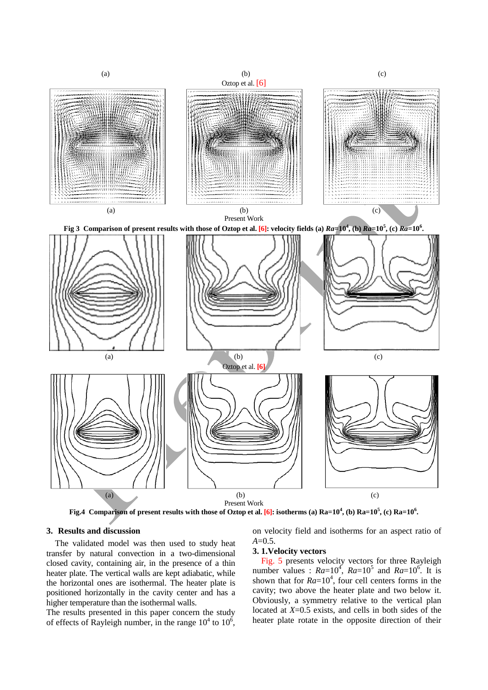

**Fig.4 Comparison of present results with those of Oztop et al. [6]: isotherms (a) Ra=10<sup>4</sup> , (b) Ra=10<sup>5</sup> , (c) Ra=10<sup>6</sup> .**

#### **3. Results and discussion**

The validated model was then used to study heat transfer by natural convection in a two-dimensional closed cavity, containing air, in the presence of a thin heater plate. The vertical walls are kept adiabatic, while the horizontal ones are isothermal. The heater plate is positioned horizontally in the cavity center and has a higher temperature than the isothermal walls.

The results presented in this paper concern the study of effects of Rayleigh number, in the range  $10^4$  to  $10^6$ , on velocity field and isotherms for an aspect ratio of *A*=0.5.

### **3. 1.Velocity vectors**

Fig. 5 presents velocity vectors for three Rayleigh number values :  $Ra=10^4$ ,  $Ra=10^5$  and  $Ra=10^6$ . It is shown that for  $Ra=10^4$ , four cell centers forms in the cavity; two above the heater plate and two below it. Obviously, a symmetry relative to the vertical plan located at *X*=0.5 exists, and cells in both sides of the heater plate rotate in the opposite direction of their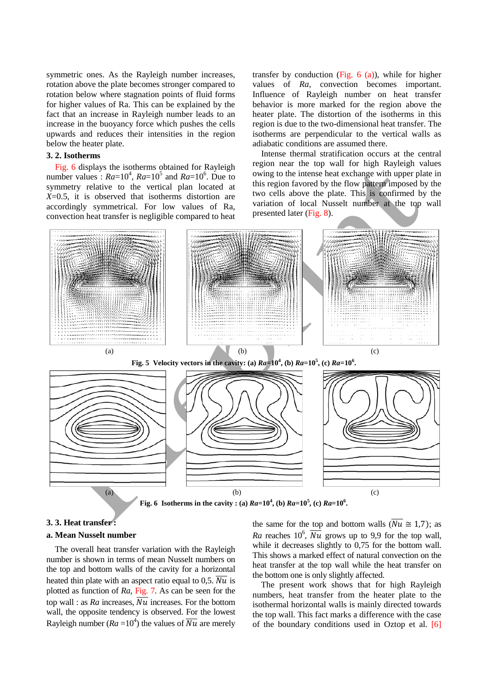symmetric ones. As the Rayleigh number increases, rotation above the plate becomes stronger compared to rotation below where stagnation points of fluid forms for higher values of Ra. This can be explained by the fact that an increase in Rayleigh number leads to an increase in the buoyancy force which pushes the cells upwards and reduces their intensities in the region below the heater plate.

# **3. 2. Isotherms**

Fig. 6 displays the isotherms obtained for Rayleigh number values :  $Ra=10^4$ ,  $Ra=10^5$  and  $Ra=10^6$ . Due to symmetry relative to the vertical plan located at *X*=0.5, it is observed that isotherms distortion are accordingly symmetrical. For low values of Ra, convection heat transfer is negligible compared to heat

transfer by conduction (Fig.  $6$  (a)), while for higher values of *Ra*, convection becomes important. Influence of Rayleigh number on heat transfer behavior is more marked for the region above the heater plate. The distortion of the isotherms in this region is due to the two-dimensional heat transfer. The isotherms are perpendicular to the vertical walls as adiabatic conditions are assumed there.

Intense thermal stratification occurs at the central region near the top wall for high Rayleigh values owing to the intense heat exchange with upper plate in this region favored by the flow pattern imposed by the two cells above the plate. This is confirmed by the variation of local Nusselt number at the top wall presented later (Fig. 8).



## **3. 3. Heat transfer :**

#### **a. Mean Nusselt number**

The overall heat transfer variation with the Rayleigh number is shown in terms of mean Nusselt numbers on the top and bottom walls of the cavity for a horizontal heated thin plate with an aspect ratio equal to 0,5.  $\overline{Nu}$  is plotted as function of *Ra*, Fig. 7. As can be seen for the top wall : as  $Ra$  increases,  $\overline{Nu}$  increases. For the bottom wall, the opposite tendency is observed. For the lowest Rayleigh number  $(Ra = 10^4)$  the values of  $\overline{Nu}$  are merely the same for the top and bottom walls  $(\overline{Nu} \cong 1,7)$ ; as *Ra* reaches  $10^6$ ,  $\overline{Nu}$  grows up to 9,9 for the top wall, while it decreases slightly to 0.75 for the bottom wall. This shows a marked effect of natural convection on the heat transfer at the top wall while the heat transfer on the bottom one is only slightly affected.

The present work shows that for high Rayleigh numbers, heat transfer from the heater plate to the isothermal horizontal walls is mainly directed towards the top wall. This fact marks a difference with the case of the boundary conditions used in Oztop et al. [6]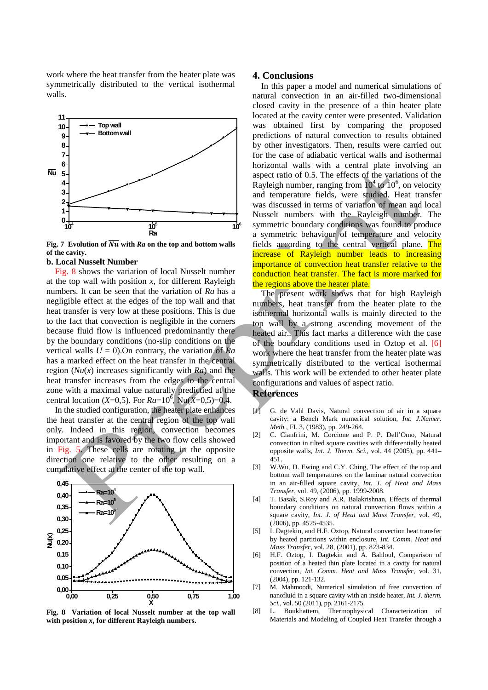work where the heat transfer from the heater plate was symmetrically distributed to the vertical isothermal walls.



**Fig.** 7 **Evolution of**  $\overline{Nu}$  **with**  $Ra$  **on the top and bottom walls of the cavity.**

#### **b. Local Nusselt Number**

Fig. 8 shows the variation of local Nusselt number at the top wall with position *x*, for different Rayleigh numbers. It can be seen that the variation of *Ra* has a negligible effect at the edges of the top wall and that heat transfer is very low at these positions. This is due to the fact that convection is negligible in the corners because fluid flow is influenced predominantly there by the boundary conditions (no-slip conditions on the vertical walls  $U = 0$ . On contrary, the variation of *Ra* has a marked effect on the heat transfer in the central region (*Nu*(*x*) increases significantly with *Ra*) and the heat transfer increases from the edges to the central zone with a maximal value naturally predictied at the central location (*X*=0,5). For  $Ra = 10^6$ , Nu(*X*=0,5)=0,4.

In the studied configuration, the heater plate enhances the heat transfer at the central region of the top wall only. Indeed in this region, convection becomes important and is favored by the two flow cells showed in Fig. 5. These cells are rotating in the opposite direction one relative to the other resulting on a cumulative effect at the center of the top wall.



**Fig. 8 Variation of local Nusselt number at the top wall with position** *x***, for different Rayleigh numbers.**

#### **4. Conclusions**

In this paper a model and numerical simulations of natural convection in an air-filled two-dimensional closed cavity in the presence of a thin heater plate located at the cavity center were presented. Validation was obtained first by comparing the proposed predictions of natural convection to results obtained by other investigators. Then, results were carried out for the case of adiabatic vertical walls and isothermal horizontal walls with a central plate involving an aspect ratio of 0.5. The effects of the variations of the Rayleigh number, ranging from  $10^4$  to  $10^6$ , on velocity and temperature fields, were studied. Heat transfer was discussed in terms of variation of mean and local Nusselt numbers with the Rayleigh number. The symmetric boundary conditions was found to produce a symmetric behaviour of temperature and velocity fields according to the central vertical plane. The increase of Rayleigh number leads to increasing importance of convection heat transfer relative to the conduction heat transfer. The fact is more marked for the regions above the heater plate.

The present work shows that for high Rayleigh numbers, heat transfer from the heater plate to the isothermal horizontal walls is mainly directed to the top wall by a strong ascending movement of the heated air.. This fact marks a difference with the case of the boundary conditions used in Oztop et al. [6] work where the heat transfer from the heater plate was symmetrically distributed to the vertical isothermal walls. This work will be extended to other heater plate configurations and values of aspect ratio.

# **References**

- [1] G. de Vahl Davis, Natural convection of air in a square cavity: a Bench Mark numerical solution, *Int. J.Numer. Meth.,* FI. 3, (1983), pp. 249-264.
- [2] C. Cianfrini, M. Corcione and P. P. Dell'Omo, Natural convection in tilted square cavities with differentially heated opposite walls, *Int. J. Therm. Sci.,* vol. 44 (2005), pp. 441– 451.
- [3] W.Wu, D. Ewing and C.Y. Ching, The effect of the top and bottom wall temperatures on the laminar natural convection in an air-filled square cavity, *Int. J. of Heat and Mass Transfer*, vol. 49, (2006), pp. 1999-2008.
- [4] T. Basak, S.Roy and A.R. Balakrishnan, Effects of thermal boundary conditions on natural convection flows within a square cavity, *Int. J. of Heat and Mass Transfer*, vol. 49, (2006), pp. 4525-4535.
- [5] I. Dagtekin, and H.F. Oztop, [Natural convection heat transfer](http://www.sciencedirect.com/science/article/pii/S073519330100286X)  [by heated partitions within enclosure](http://www.sciencedirect.com/science/article/pii/S073519330100286X)*, Int. Comm. Heat and Mass Transfer,* vol. 28, (2001), pp. 823-834.
- [6] H.F. Oztop, I. Dagtekin and A. Bahloul, Comparison of position of a heated thin plate located in a cavity for natural convection, *Int. Comm. Heat and Mass Transfer*, vol. 31, (2004), pp. 121-132.
- [7] M. Mahmoodi, Numerical simulation of free convection of nanofluid in a square cavity with an inside heater, *Int. J. therm. Sci.*, vol. 50 (2011), pp. 2161-2175.
- [8] L. Boukhattem, Thermophysical Characterization of Materials and Modeling of Coupled Heat Transfer through a